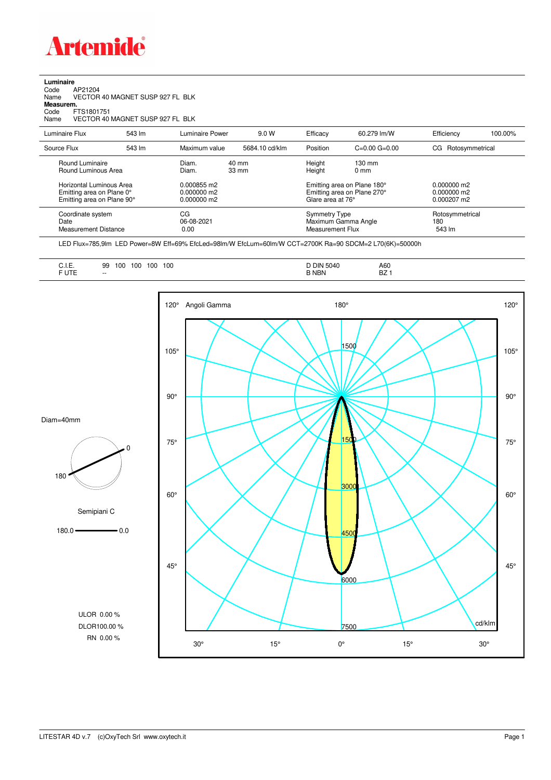

## **Luminaire** Code AP21204 Name VECTOR 40 MAGNET SUSP 927 FL BLK Code A<br>Name V<br>**Measurem.** Code FTS1801751<br>Name VECTOR 40 VECTOR 40 MAGNET SUSP 927 FL BLK Luminaire Flux 543 lm Luminaire Power 9.0 W Efficacy 60.279 lm/W Efficiency 100.00%

| Source Flux                                                                         | 543 lm | Maximum value                             | 5684.10 cd/klm                     | Position                                                                        | $C=0.00$ $G=0.00$                  | CG Rotosymmetrical                                            |
|-------------------------------------------------------------------------------------|--------|-------------------------------------------|------------------------------------|---------------------------------------------------------------------------------|------------------------------------|---------------------------------------------------------------|
| Round Luminaire<br>Round Luminous Area                                              |        | Diam.<br>Diam.                            | $40 \text{ mm}$<br>$33 \text{ mm}$ | Height<br>Height                                                                | $130 \text{ mm}$<br>$0 \text{ mm}$ |                                                               |
| Horizontal Luminous Area<br>Emitting area on Plane 0°<br>Emitting area on Plane 90° |        | 0.000855 m2<br>0.000000 m2<br>0.000000 m2 |                                    | Emitting area on Plane 180°<br>Emitting area on Plane 270°<br>Glare area at 76° |                                    | $0.000000 \text{ m}$ 2<br>0.000000 m2<br>$0.000207 \text{ m}$ |
| Coordinate system<br>Date<br><b>Measurement Distance</b>                            |        | CG<br>06-08-2021<br>0.00                  |                                    | <b>Symmetry Type</b><br>Maximum Gamma Angle<br>Measurement Flux                 |                                    | Rotosymmetrical<br>180<br>543 lm                              |

LED Flux=785,9lm LED Power=8W Eff=69% EfcLed=98lm/W EfcLum=60lm/W CCT=2700K Ra=90 SDCM=2 L70(6K)=50000h